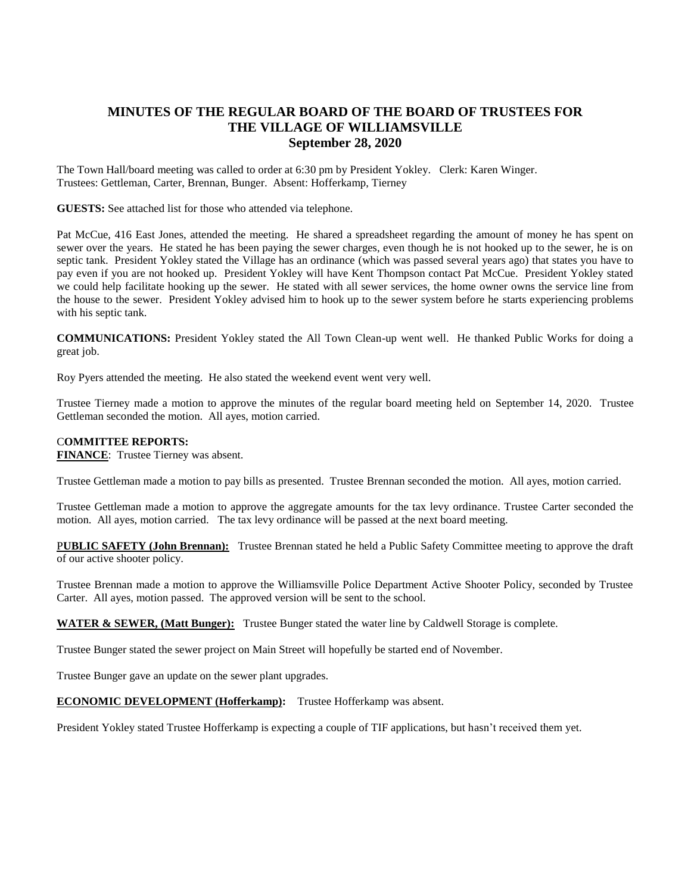## **MINUTES OF THE REGULAR BOARD OF THE BOARD OF TRUSTEES FOR THE VILLAGE OF WILLIAMSVILLE September 28, 2020**

The Town Hall/board meeting was called to order at 6:30 pm by President Yokley. Clerk: Karen Winger. Trustees: Gettleman, Carter, Brennan, Bunger. Absent: Hofferkamp, Tierney

**GUESTS:** See attached list for those who attended via telephone.

Pat McCue, 416 East Jones, attended the meeting. He shared a spreadsheet regarding the amount of money he has spent on sewer over the years. He stated he has been paying the sewer charges, even though he is not hooked up to the sewer, he is on septic tank. President Yokley stated the Village has an ordinance (which was passed several years ago) that states you have to pay even if you are not hooked up. President Yokley will have Kent Thompson contact Pat McCue. President Yokley stated we could help facilitate hooking up the sewer. He stated with all sewer services, the home owner owns the service line from the house to the sewer. President Yokley advised him to hook up to the sewer system before he starts experiencing problems with his septic tank.

**COMMUNICATIONS:** President Yokley stated the All Town Clean-up went well. He thanked Public Works for doing a great job.

Roy Pyers attended the meeting. He also stated the weekend event went very well.

Trustee Tierney made a motion to approve the minutes of the regular board meeting held on September 14, 2020. Trustee Gettleman seconded the motion. All ayes, motion carried.

## C**OMMITTEE REPORTS:**

**FINANCE**: Trustee Tierney was absent.

Trustee Gettleman made a motion to pay bills as presented. Trustee Brennan seconded the motion. All ayes, motion carried.

Trustee Gettleman made a motion to approve the aggregate amounts for the tax levy ordinance. Trustee Carter seconded the motion. All ayes, motion carried. The tax levy ordinance will be passed at the next board meeting.

P**UBLIC SAFETY (John Brennan):** Trustee Brennan stated he held a Public Safety Committee meeting to approve the draft of our active shooter policy.

Trustee Brennan made a motion to approve the Williamsville Police Department Active Shooter Policy, seconded by Trustee Carter. All ayes, motion passed. The approved version will be sent to the school.

**WATER & SEWER, (Matt Bunger):** Trustee Bunger stated the water line by Caldwell Storage is complete.

Trustee Bunger stated the sewer project on Main Street will hopefully be started end of November.

Trustee Bunger gave an update on the sewer plant upgrades.

**ECONOMIC DEVELOPMENT (Hofferkamp):** Trustee Hofferkamp was absent.

President Yokley stated Trustee Hofferkamp is expecting a couple of TIF applications, but hasn't received them yet.